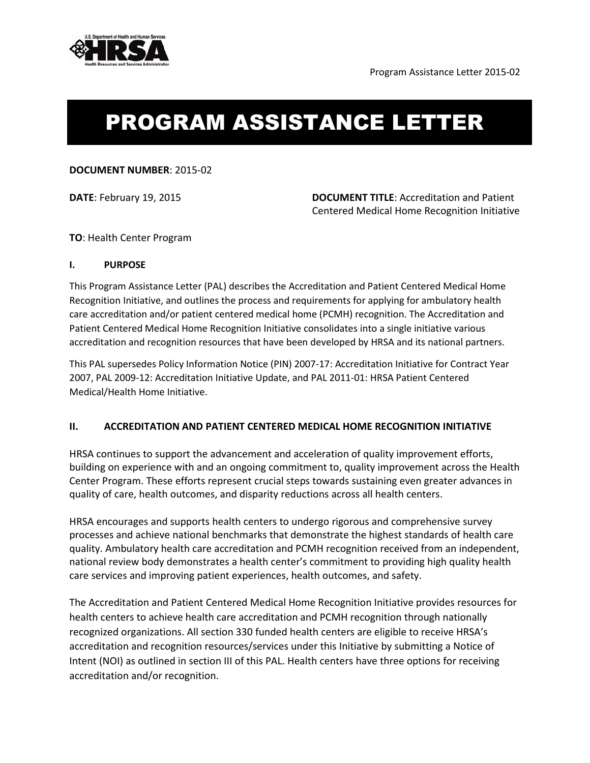

# PROGRAM ASSISTANCE LETTER

### **DOCUMENT NUMBER**: 2015-02

**DATE**: February 19, 2015 **DOCUMENT TITLE**: Accreditation and Patient Centered Medical Home Recognition Initiative

## **TO**: Health Center Program

### **I. PURPOSE**

This Program Assistance Letter (PAL) describes the Accreditation and Patient Centered Medical Home Recognition Initiative, and outlines the process and requirements for applying for ambulatory health care accreditation and/or patient centered medical home (PCMH) recognition. The Accreditation and Patient Centered Medical Home Recognition Initiative consolidates into a single initiative various accreditation and recognition resources that have been developed by HRSA and its national partners.

This PAL supersedes Policy Information Notice (PIN) 2007-17: Accreditation Initiative for Contract Year 2007, PAL 2009-12: Accreditation Initiative Update, and PAL 2011-01: HRSA Patient Centered Medical/Health Home Initiative.

# **II. ACCREDITATION AND PATIENT CENTERED MEDICAL HOME RECOGNITION INITIATIVE**

HRSA continues to support the advancement and acceleration of quality improvement efforts, building on experience with and an ongoing commitment to, quality improvement across the Health Center Program. These efforts represent crucial steps towards sustaining even greater advances in quality of care, health outcomes, and disparity reductions across all health centers.

HRSA encourages and supports health centers to undergo rigorous and comprehensive survey processes and achieve national benchmarks that demonstrate the highest standards of health care quality. Ambulatory health care accreditation and PCMH recognition received from an independent, national review body demonstrates a health center's commitment to providing high quality health care services and improving patient experiences, health outcomes, and safety.

The Accreditation and Patient Centered Medical Home Recognition Initiative provides resources for health centers to achieve health care accreditation and PCMH recognition through nationally recognized organizations. All section 330 funded health centers are eligible to receive HRSA's accreditation and recognition resources/services under this Initiative by submitting a Notice of Intent (NOI) as outlined in section III of this PAL. Health centers have three options for receiving accreditation and/or recognition.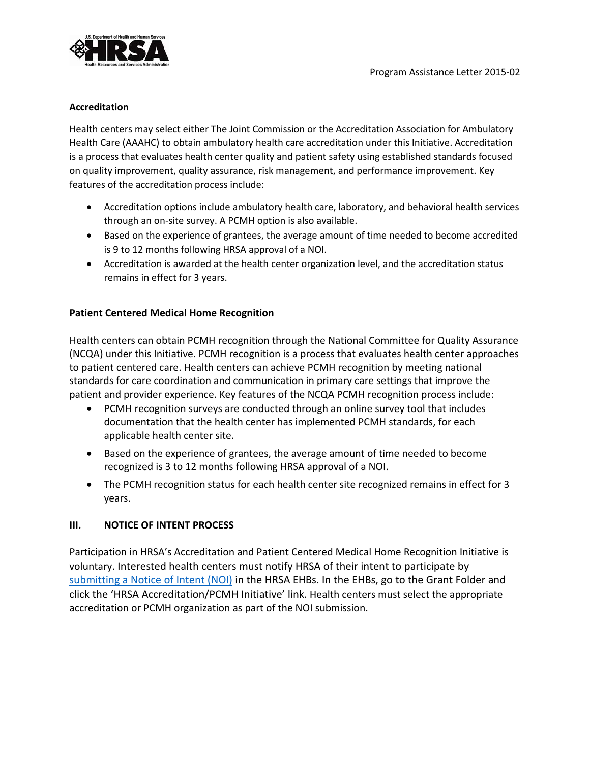

#### **Accreditation**

Health centers may select either The Joint Commission or the Accreditation Association for Ambulatory Health Care (AAAHC) to obtain ambulatory health care accreditation under this Initiative. Accreditation is a process that evaluates health center quality and patient safety using established standards focused on quality improvement, quality assurance, risk management, and performance improvement. Key features of the accreditation process include:

- Accreditation options include ambulatory health care, laboratory, and behavioral health services through an on-site survey. A PCMH option is also available.
- Based on the experience of grantees, the average amount of time needed to become accredited is 9 to 12 months following HRSA approval of a NOI.
- Accreditation is awarded at the health center organization level, and the accreditation status remains in effect for 3 years.

## **Patient Centered Medical Home Recognition**

Health centers can obtain PCMH recognition through the National Committee for Quality Assurance (NCQA) under this Initiative. PCMH recognition is a process that evaluates health center approaches to patient centered care. Health centers can achieve PCMH recognition by meeting national standards for care coordination and communication in primary care settings that improve the patient and provider experience. Key features of the NCQA PCMH recognition process include:

- PCMH recognition surveys are conducted through an online survey tool that includes documentation that the health center has implemented PCMH standards, for each applicable health center site.
- Based on the experience of grantees, the average amount of time needed to become recognized is 3 to 12 months following HRSA approval of a NOI.
- The PCMH recognition status for each health center site recognized remains in effect for 3 years.

# **III. NOTICE OF INTENT PROCESS**

Participation in HRSA's Accreditation and Patient Centered Medical Home Recognition Initiative is voluntary. Interested health centers must notify HRSA of their intent to participate by [submitting a Notice of Intent \(NOI\)](https://grants.hrsa.gov/2010/WebEPSExternal/Interface/common/accesscontrol/login.aspx) in the HRSA EHBs. In the EHBs, go to the Grant Folder and click the 'HRSA Accreditation/PCMH Initiative' link. Health centers must select the appropriate accreditation or PCMH organization as part of the NOI submission.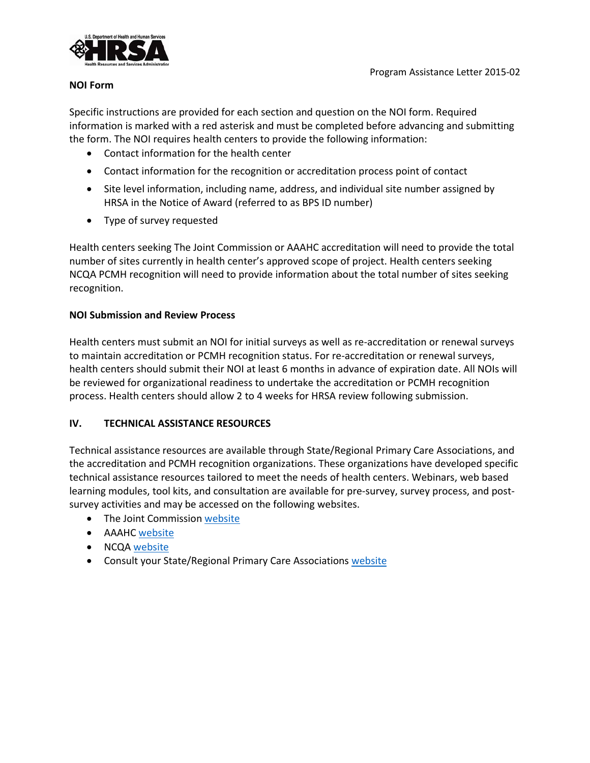

#### **NOI Form**

Specific instructions are provided for each section and question on the NOI form. Required information is marked with a red asterisk and must be completed before advancing and submitting the form. The NOI requires health centers to provide the following information:

- Contact information for the health center
- Contact information for the recognition or accreditation process point of contact
- Site level information, including name, address, and individual site number assigned by HRSA in the Notice of Award (referred to as BPS ID number)
- Type of survey requested

Health centers seeking The Joint Commission or AAAHC accreditation will need to provide the total number of sites currently in health center's approved scope of project. Health centers seeking NCQA PCMH recognition will need to provide information about the total number of sites seeking recognition.

## **NOI Submission and Review Process**

Health centers must submit an NOI for initial surveys as well as re-accreditation or renewal surveys to maintain accreditation or PCMH recognition status. For re-accreditation or renewal surveys, health centers should submit their NOI at least 6 months in advance of expiration date. All NOIs will be reviewed for organizational readiness to undertake the accreditation or PCMH recognition process. Health centers should allow 2 to 4 weeks for HRSA review following submission.

### **IV. TECHNICAL ASSISTANCE RESOURCES**

Technical assistance resources are available through State/Regional Primary Care Associations, and the accreditation and PCMH recognition organizations. These organizations have developed specific technical assistance resources tailored to meet the needs of health centers. Webinars, web based learning modules, tool kits, and consultation are available for pre-survey, survey process, and postsurvey activities and may be accessed on the following websites.

- The Joint Commission [website](http://www.jointcommission.org/hrsa_grantee_technical_assistance_teleconference_list/)
- AAAHC [website](https://www.aaahc.org/accreditation/FQCHCs/)
- NCQ[A website](http://www.ncqa.org/Programs/Recognition/Practices/PatientCenteredMedicalHomePCMH.aspx)
- Consult your State/Regional Primary Care Associations [website](https://bphc.hrsa.gov/qualityimprovement/strategicpartnerships/ncapca/associations.html)